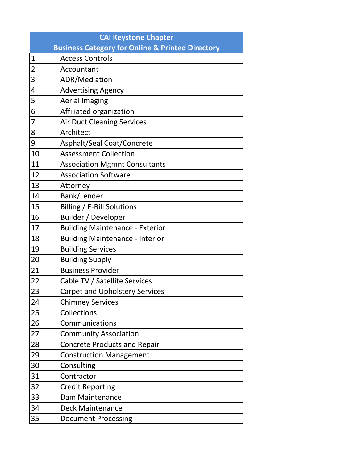|                | <b>CAI Keystone Chapter</b>                                 |  |  |
|----------------|-------------------------------------------------------------|--|--|
|                | <b>Business Category for Online &amp; Printed Directory</b> |  |  |
| $\mathbf{1}$   | <b>Access Controls</b>                                      |  |  |
| $\overline{2}$ | Accountant                                                  |  |  |
| 3              | ADR/Mediation                                               |  |  |
| 4              | <b>Advertising Agency</b>                                   |  |  |
| 5              | <b>Aerial Imaging</b>                                       |  |  |
| 6              | Affiliated organization                                     |  |  |
| 7              | <b>Air Duct Cleaning Services</b>                           |  |  |
| 8              | Architect                                                   |  |  |
| 9              | Asphalt/Seal Coat/Concrete                                  |  |  |
| 10             | <b>Assessment Collection</b>                                |  |  |
| 11             | <b>Association Mgmnt Consultants</b>                        |  |  |
| 12             | <b>Association Software</b>                                 |  |  |
| 13             | Attorney                                                    |  |  |
| 14             | Bank/Lender                                                 |  |  |
| 15             | Billing / E-Bill Solutions                                  |  |  |
| 16             | Builder / Developer                                         |  |  |
| 17             | <b>Building Maintenance - Exterior</b>                      |  |  |
| 18             | <b>Building Maintenance - Interior</b>                      |  |  |
| 19             | <b>Building Services</b>                                    |  |  |
| 20             | <b>Building Supply</b>                                      |  |  |
| 21             | <b>Business Provider</b>                                    |  |  |
| 22             | Cable TV / Satellite Services                               |  |  |
| 23             | <b>Carpet and Upholstery Services</b>                       |  |  |
| 24             | <b>Chimney Services</b>                                     |  |  |
| 25             | Collections                                                 |  |  |
| 26             | Communications                                              |  |  |
| 27             | <b>Community Association</b>                                |  |  |
| 28             | <b>Concrete Products and Repair</b>                         |  |  |
| 29             | <b>Construction Management</b>                              |  |  |
| 30             | Consulting                                                  |  |  |
| 31             | Contractor                                                  |  |  |
| 32             | <b>Credit Reporting</b>                                     |  |  |
| 33             | Dam Maintenance                                             |  |  |
| 34             | <b>Deck Maintenance</b>                                     |  |  |
| 35             | <b>Document Processing</b>                                  |  |  |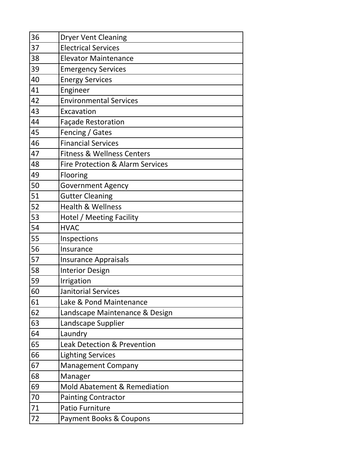| 36 | <b>Dryer Vent Cleaning</b>                  |
|----|---------------------------------------------|
| 37 | <b>Electrical Services</b>                  |
| 38 | <b>Elevator Maintenance</b>                 |
| 39 | <b>Emergency Services</b>                   |
| 40 | <b>Energy Services</b>                      |
| 41 | Engineer                                    |
| 42 | <b>Environmental Services</b>               |
| 43 | Excavation                                  |
| 44 | <b>Façade Restoration</b>                   |
| 45 | Fencing / Gates                             |
| 46 | <b>Financial Services</b>                   |
| 47 | <b>Fitness &amp; Wellness Centers</b>       |
| 48 | <b>Fire Protection &amp; Alarm Services</b> |
| 49 | Flooring                                    |
| 50 | <b>Government Agency</b>                    |
| 51 | <b>Gutter Cleaning</b>                      |
| 52 | <b>Health &amp; Wellness</b>                |
| 53 | Hotel / Meeting Facility                    |
| 54 | <b>HVAC</b>                                 |
| 55 | Inspections                                 |
| 56 | Insurance                                   |
| 57 | <b>Insurance Appraisals</b>                 |
| 58 | <b>Interior Design</b>                      |
| 59 | Irrigation                                  |
| 60 | Janitorial Services                         |
| 61 | Lake & Pond Maintenance                     |
| 62 | Landscape Maintenance & Design              |
| 63 | Landscape Supplier                          |
| 64 | Laundry                                     |
| 65 | <b>Leak Detection &amp; Prevention</b>      |
| 66 | <b>Lighting Services</b>                    |
| 67 | <b>Management Company</b>                   |
| 68 | Manager                                     |
| 69 | <b>Mold Abatement &amp; Remediation</b>     |
| 70 | <b>Painting Contractor</b>                  |
| 71 | <b>Patio Furniture</b>                      |
| 72 | Payment Books & Coupons                     |